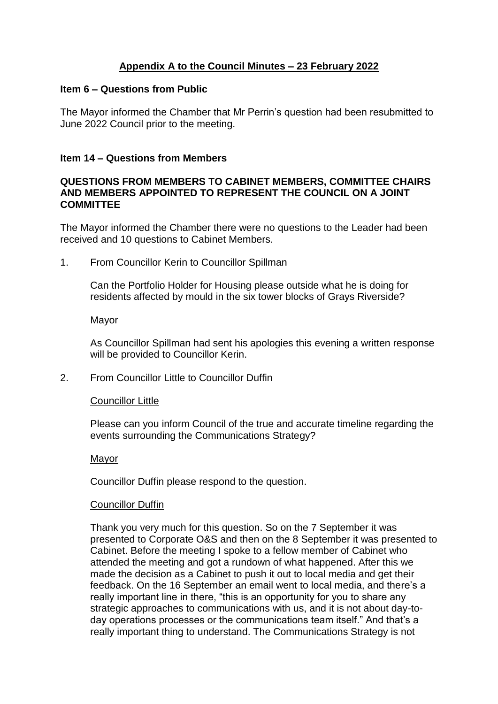# **Appendix A to the Council Minutes – 23 February 2022**

## **Item 6 – Questions from Public**

The Mayor informed the Chamber that Mr Perrin's question had been resubmitted to June 2022 Council prior to the meeting.

# **Item 14 – Questions from Members**

## **QUESTIONS FROM MEMBERS TO CABINET MEMBERS, COMMITTEE CHAIRS AND MEMBERS APPOINTED TO REPRESENT THE COUNCIL ON A JOINT COMMITTEE**

The Mayor informed the Chamber there were no questions to the Leader had been received and 10 questions to Cabinet Members.

1. From Councillor Kerin to Councillor Spillman

Can the Portfolio Holder for Housing please outside what he is doing for residents affected by mould in the six tower blocks of Grays Riverside?

## Mayor

As Councillor Spillman had sent his apologies this evening a written response will be provided to Councillor Kerin.

2. From Councillor Little to Councillor Duffin

## Councillor Little

Please can you inform Council of the true and accurate timeline regarding the events surrounding the Communications Strategy?

## Mayor

Councillor Duffin please respond to the question.

## Councillor Duffin

Thank you very much for this question. So on the 7 September it was presented to Corporate O&S and then on the 8 September it was presented to Cabinet. Before the meeting I spoke to a fellow member of Cabinet who attended the meeting and got a rundown of what happened. After this we made the decision as a Cabinet to push it out to local media and get their feedback. On the 16 September an email went to local media, and there's a really important line in there, "this is an opportunity for you to share any strategic approaches to communications with us, and it is not about day-today operations processes or the communications team itself." And that's a really important thing to understand. The Communications Strategy is not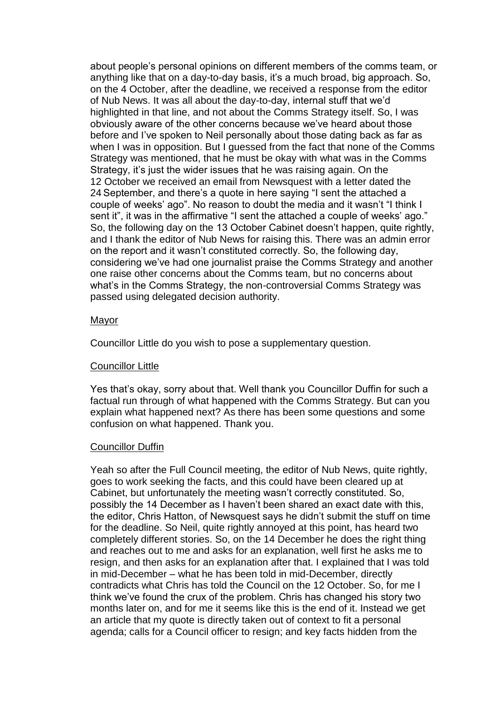about people's personal opinions on different members of the comms team, or anything like that on a day-to-day basis, it's a much broad, big approach. So, on the 4 October, after the deadline, we received a response from the editor of Nub News. It was all about the day-to-day, internal stuff that we'd highlighted in that line, and not about the Comms Strategy itself. So, I was obviously aware of the other concerns because we've heard about those before and I've spoken to Neil personally about those dating back as far as when I was in opposition. But I guessed from the fact that none of the Comms Strategy was mentioned, that he must be okay with what was in the Comms Strategy, it's just the wider issues that he was raising again. On the 12 October we received an email from Newsquest with a letter dated the 24 September, and there's a quote in here saying "I sent the attached a couple of weeks' ago". No reason to doubt the media and it wasn't "I think I sent it", it was in the affirmative "I sent the attached a couple of weeks' ago." So, the following day on the 13 October Cabinet doesn't happen, quite rightly, and I thank the editor of Nub News for raising this. There was an admin error on the report and it wasn't constituted correctly. So, the following day, considering we've had one journalist praise the Comms Strategy and another one raise other concerns about the Comms team, but no concerns about what's in the Comms Strategy, the non-controversial Comms Strategy was passed using delegated decision authority.

#### Mayor

Councillor Little do you wish to pose a supplementary question.

## Councillor Little

Yes that's okay, sorry about that. Well thank you Councillor Duffin for such a factual run through of what happened with the Comms Strategy. But can you explain what happened next? As there has been some questions and some confusion on what happened. Thank you.

## Councillor Duffin

Yeah so after the Full Council meeting, the editor of Nub News, quite rightly, goes to work seeking the facts, and this could have been cleared up at Cabinet, but unfortunately the meeting wasn't correctly constituted. So, possibly the 14 December as I haven't been shared an exact date with this, the editor, Chris Hatton, of Newsquest says he didn't submit the stuff on time for the deadline. So Neil, quite rightly annoyed at this point, has heard two completely different stories. So, on the 14 December he does the right thing and reaches out to me and asks for an explanation, well first he asks me to resign, and then asks for an explanation after that. I explained that I was told in mid-December – what he has been told in mid-December, directly contradicts what Chris has told the Council on the 12 October. So, for me I think we've found the crux of the problem. Chris has changed his story two months later on, and for me it seems like this is the end of it. Instead we get an article that my quote is directly taken out of context to fit a personal agenda; calls for a Council officer to resign; and key facts hidden from the